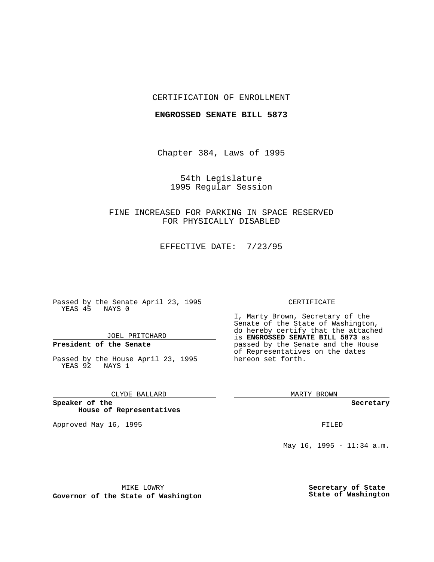### CERTIFICATION OF ENROLLMENT

### **ENGROSSED SENATE BILL 5873**

Chapter 384, Laws of 1995

54th Legislature 1995 Regular Session

FINE INCREASED FOR PARKING IN SPACE RESERVED FOR PHYSICALLY DISABLED

EFFECTIVE DATE: 7/23/95

Passed by the Senate April 23, 1995 YEAS 45 NAYS 0

JOEL PRITCHARD

# **President of the Senate**

Passed by the House April 23, 1995 YEAS 92 NAYS 1

CLYDE BALLARD

**Speaker of the House of Representatives**

Approved May 16, 1995 FILED

#### CERTIFICATE

I, Marty Brown, Secretary of the Senate of the State of Washington, do hereby certify that the attached is **ENGROSSED SENATE BILL 5873** as passed by the Senate and the House of Representatives on the dates hereon set forth.

MARTY BROWN

**Secretary**

May 16, 1995 - 11:34 a.m.

MIKE LOWRY

**Governor of the State of Washington**

**Secretary of State State of Washington**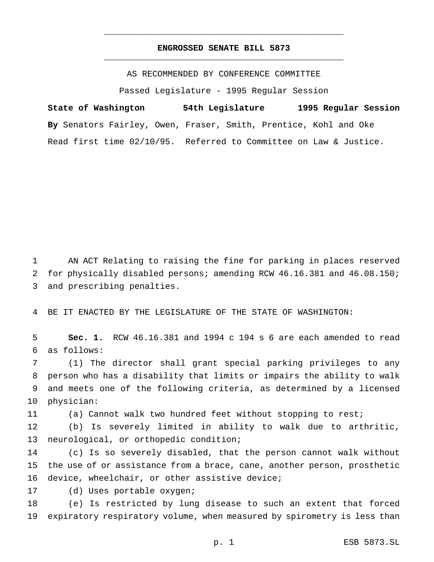## **ENGROSSED SENATE BILL 5873** \_\_\_\_\_\_\_\_\_\_\_\_\_\_\_\_\_\_\_\_\_\_\_\_\_\_\_\_\_\_\_\_\_\_\_\_\_\_\_\_\_\_\_\_\_\_\_

\_\_\_\_\_\_\_\_\_\_\_\_\_\_\_\_\_\_\_\_\_\_\_\_\_\_\_\_\_\_\_\_\_\_\_\_\_\_\_\_\_\_\_\_\_\_\_

AS RECOMMENDED BY CONFERENCE COMMITTEE

Passed Legislature - 1995 Regular Session

**State of Washington 54th Legislature 1995 Regular Session By** Senators Fairley, Owen, Fraser, Smith, Prentice, Kohl and Oke Read first time 02/10/95. Referred to Committee on Law & Justice.

 AN ACT Relating to raising the fine for parking in places reserved for physically disabled persons; amending RCW 46.16.381 and 46.08.150; and prescribing penalties.

BE IT ENACTED BY THE LEGISLATURE OF THE STATE OF WASHINGTON:

 **Sec. 1.** RCW 46.16.381 and 1994 c 194 s 6 are each amended to read as follows:

 (1) The director shall grant special parking privileges to any person who has a disability that limits or impairs the ability to walk and meets one of the following criteria, as determined by a licensed physician:

(a) Cannot walk two hundred feet without stopping to rest;

 (b) Is severely limited in ability to walk due to arthritic, neurological, or orthopedic condition;

 (c) Is so severely disabled, that the person cannot walk without the use of or assistance from a brace, cane, another person, prosthetic device, wheelchair, or other assistive device;

(d) Uses portable oxygen;

 (e) Is restricted by lung disease to such an extent that forced expiratory respiratory volume, when measured by spirometry is less than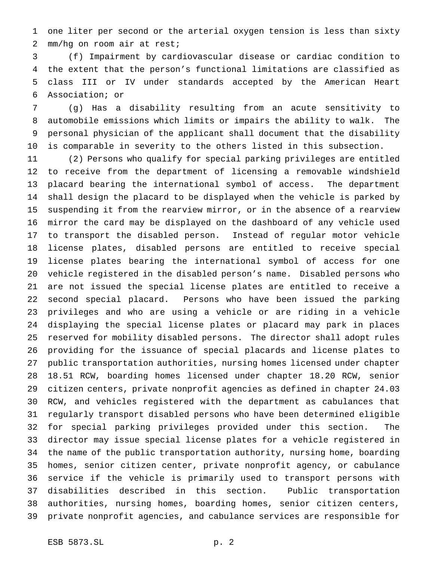one liter per second or the arterial oxygen tension is less than sixty mm/hg on room air at rest;

 (f) Impairment by cardiovascular disease or cardiac condition to the extent that the person's functional limitations are classified as class III or IV under standards accepted by the American Heart Association; or

 (g) Has a disability resulting from an acute sensitivity to automobile emissions which limits or impairs the ability to walk. The personal physician of the applicant shall document that the disability is comparable in severity to the others listed in this subsection.

 (2) Persons who qualify for special parking privileges are entitled to receive from the department of licensing a removable windshield placard bearing the international symbol of access. The department shall design the placard to be displayed when the vehicle is parked by suspending it from the rearview mirror, or in the absence of a rearview mirror the card may be displayed on the dashboard of any vehicle used to transport the disabled person. Instead of regular motor vehicle license plates, disabled persons are entitled to receive special license plates bearing the international symbol of access for one vehicle registered in the disabled person's name. Disabled persons who are not issued the special license plates are entitled to receive a second special placard. Persons who have been issued the parking privileges and who are using a vehicle or are riding in a vehicle displaying the special license plates or placard may park in places reserved for mobility disabled persons. The director shall adopt rules providing for the issuance of special placards and license plates to public transportation authorities, nursing homes licensed under chapter 18.51 RCW, boarding homes licensed under chapter 18.20 RCW, senior citizen centers, private nonprofit agencies as defined in chapter 24.03 RCW, and vehicles registered with the department as cabulances that regularly transport disabled persons who have been determined eligible for special parking privileges provided under this section. The director may issue special license plates for a vehicle registered in the name of the public transportation authority, nursing home, boarding homes, senior citizen center, private nonprofit agency, or cabulance service if the vehicle is primarily used to transport persons with disabilities described in this section. Public transportation authorities, nursing homes, boarding homes, senior citizen centers, private nonprofit agencies, and cabulance services are responsible for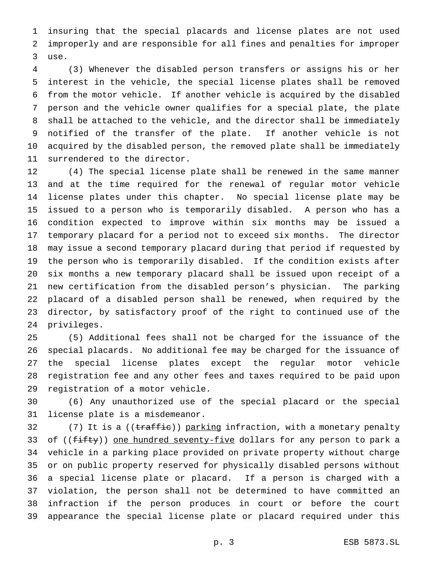insuring that the special placards and license plates are not used improperly and are responsible for all fines and penalties for improper use.

 (3) Whenever the disabled person transfers or assigns his or her interest in the vehicle, the special license plates shall be removed from the motor vehicle. If another vehicle is acquired by the disabled person and the vehicle owner qualifies for a special plate, the plate shall be attached to the vehicle, and the director shall be immediately notified of the transfer of the plate. If another vehicle is not acquired by the disabled person, the removed plate shall be immediately surrendered to the director.

 (4) The special license plate shall be renewed in the same manner and at the time required for the renewal of regular motor vehicle license plates under this chapter. No special license plate may be issued to a person who is temporarily disabled. A person who has a condition expected to improve within six months may be issued a temporary placard for a period not to exceed six months. The director may issue a second temporary placard during that period if requested by the person who is temporarily disabled. If the condition exists after six months a new temporary placard shall be issued upon receipt of a new certification from the disabled person's physician. The parking placard of a disabled person shall be renewed, when required by the director, by satisfactory proof of the right to continued use of the privileges.

 (5) Additional fees shall not be charged for the issuance of the special placards. No additional fee may be charged for the issuance of the special license plates except the regular motor vehicle registration fee and any other fees and taxes required to be paid upon registration of a motor vehicle.

 (6) Any unauthorized use of the special placard or the special license plate is a misdemeanor.

32 (7) It is a ((traffic)) parking infraction, with a monetary penalty 33 of ((fifty)) one hundred seventy-five dollars for any person to park a vehicle in a parking place provided on private property without charge or on public property reserved for physically disabled persons without a special license plate or placard. If a person is charged with a violation, the person shall not be determined to have committed an infraction if the person produces in court or before the court appearance the special license plate or placard required under this